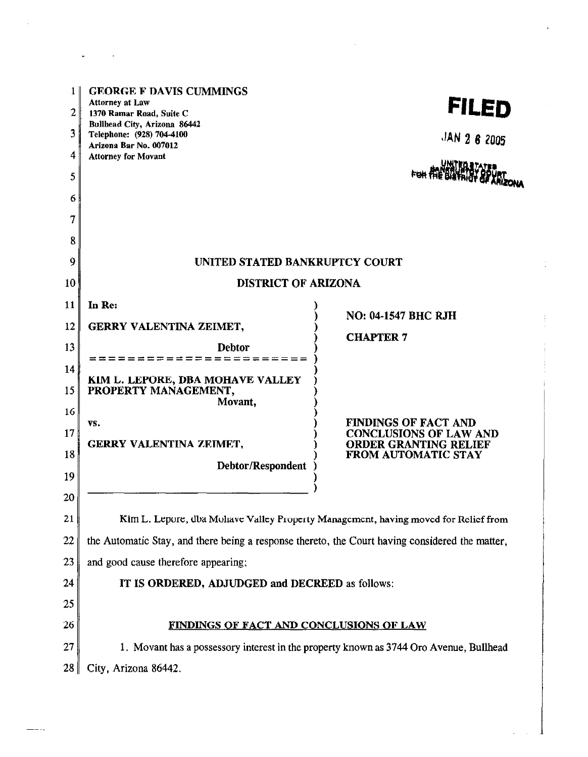| 11<br>2<br>3<br>4<br>5<br>6 | <b>GEORGE F DAVIS CUMMINGS</b><br><b>Attorney at Law</b><br>1370 Ramar Road, Suite C<br>Bullhead City, Arizona 86442<br>Telephone: (928) 704-4100<br>Arizona Bar No. 007012<br><b>Attorney for Movant</b> | FILED<br>JAN 2 6 2005                                         |
|-----------------------------|-----------------------------------------------------------------------------------------------------------------------------------------------------------------------------------------------------------|---------------------------------------------------------------|
| 7                           |                                                                                                                                                                                                           |                                                               |
| 8                           |                                                                                                                                                                                                           |                                                               |
| 9                           | UNITED STATED BANKRUPTCY COURT                                                                                                                                                                            |                                                               |
| 10                          | <b>DISTRICT OF ARIZONA</b>                                                                                                                                                                                |                                                               |
| 11                          | In Re:                                                                                                                                                                                                    | <b>NO: 04-1547 BHC RJH</b>                                    |
| 12                          | GERRY VALENTINA ZEIMET,                                                                                                                                                                                   | <b>CHAPTER 7</b>                                              |
| 13                          | <b>Debtor</b><br>--------                                                                                                                                                                                 |                                                               |
| 14                          | KIM L. LEPORE, DBA MOHAVE VALLEY                                                                                                                                                                          |                                                               |
| 15                          | PROPERTY MANAGEMENT,<br>Movant,                                                                                                                                                                           |                                                               |
| 16                          |                                                                                                                                                                                                           | <b>FINDINGS OF FACT AND</b>                                   |
| 17                          | VS.<br>GERRY VALENTINA ZEIMET,                                                                                                                                                                            | <b>CONCLUSIONS OF LAW AND</b><br><b>ORDER GRANTING RELIEF</b> |
| 18                          |                                                                                                                                                                                                           | <b>FROM AUTOMATIC STAY</b>                                    |
| 19                          | Debtor/Respondent                                                                                                                                                                                         |                                                               |
| 20                          |                                                                                                                                                                                                           |                                                               |
| 21                          | Kim L. Lepore, dba Mohave Valley Property Management, having moved for Relief from                                                                                                                        |                                                               |
| 22                          | the Automatic Stay, and there being a response thereto, the Court having considered the matter,                                                                                                           |                                                               |
| 23                          | and good cause therefore appearing;                                                                                                                                                                       |                                                               |
| 24                          | IT IS ORDERED, ADJUDGED and DECREED as follows:                                                                                                                                                           |                                                               |
| 25                          |                                                                                                                                                                                                           |                                                               |
| 26                          | FINDINGS OF FACT AND CONCLUSIONS OF LAW                                                                                                                                                                   |                                                               |
| 27                          | 1. Movant has a possessory interest in the property known as 3744 Oro Avenue, Bullhead                                                                                                                    |                                                               |
| 28                          | City, Arizona 86442.                                                                                                                                                                                      |                                                               |

 $\mathcal{A}^{(1)}$ 

 $\ddot{\phantom{1}}$